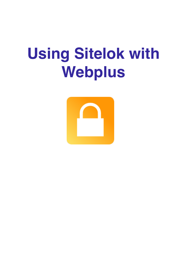# **Using Sitelok with Webplus**

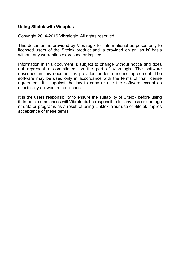#### **Using Sitelok with Webplus**

Copyright 2014-2016 Vibralogix. All rights reserved.

This document is provided by Vibralogix for informational purposes only to licensed users of the Sitelok product and is provided on an 'as is' basis without any warranties expressed or implied.

Information in this document is subject to change without notice and does not represent a commitment on the part of Vibralogix. The software described in this document is provided under a license agreement. The software may be used only in accordance with the terms of that license agreement. It is against the law to copy or use the software except as specifically allowed in the license.

It is the users responsibility to ensure the suitability of Sitelok before using it. In no circumstances will Vibralogix be responsible for any loss or damage of data or programs as a result of using Linklok. Your use of Sitelok implies acceptance of these terms.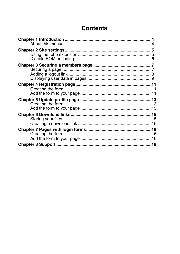# **Contents**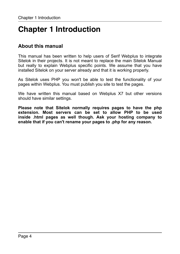# <span id="page-3-0"></span>**Chapter 1 Introduction**

### <span id="page-3-1"></span>**About this manual**

This manual has been written to help users of Serif Webplus to integrate Sitelok in their projects. It is not meant to replace the main Sitelok Manual but really to explain Webplus specific points. We assume that you have installed Sitelok on your server already and that it is working properly.

As Sitelok uses PHP you won't be able to test the functionality of your pages within Webplus. You must publish you site to test the pages.

We have written this manual based on Webplus X7 but other versions should have similar settings.

**Please note that Sitelok normally requires pages to have the php extension. Most servers can be set to allow PHP to be used inside .html pages as well though. Ask your hosting company to enable that if you can't rename your pages to .php for any reason.**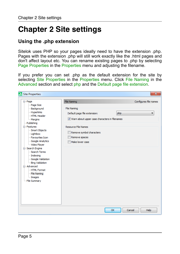# <span id="page-4-0"></span>**Chapter 2 Site settings**

### <span id="page-4-1"></span>**Using the .php extension**

Sitelok uses PHP so your pages ideally need to have the extension .php. Pages with the extension .php will still work exactly like the .html pages and don't affect layout etc. You can rename existing pages to .php by selecting Page Properties in the Properties menu and adjusting the filename.

If you prefer you can set .php as the default extension for the site by selecting Site Properties in the Properties menu. Click File Naming in the Advanced section and select php and the Default page file extension.

| ⋑<br><b>Site Properties</b>                                                                                                                                                                                      |                                                                                                                                                                                                        | $\mathbf{x}$                      |
|------------------------------------------------------------------------------------------------------------------------------------------------------------------------------------------------------------------|--------------------------------------------------------------------------------------------------------------------------------------------------------------------------------------------------------|-----------------------------------|
| ⊟ · Page<br>Page Size<br>- Background<br>Hyperlinks<br>- HTML Header<br>Margins<br>- Publishing<br>E Features<br>-Smart Objects<br>- Lightbox<br>- Favourites Icon                                               | <b>File Naming</b><br><b>File Naming</b><br>Default page file extension:<br>V Warn about upper case characters in filenames<br><b>Resource File Names</b><br>Remove symbol characters<br>Remove spaces | Configures file names<br>php<br>▼ |
| Google Analytics<br>- Video Player<br>□ Search Engine<br>- Search Terms<br>Indexing<br>-Google Validation<br><b>Bing Validation</b><br>□ Advanced<br>-HTML Format<br>- File Naming<br>- Images<br>- File Summary | Make lower case                                                                                                                                                                                        |                                   |
|                                                                                                                                                                                                                  | OK                                                                                                                                                                                                     | Cancel<br>Help                    |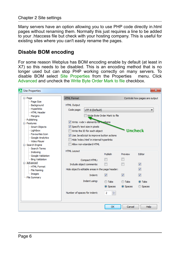Many servers have an option allowing you to use PHP code directly in.html pages without renaming them. Normally this just requires a line to be added to your .htaccess file but check with your hosting company. This is useful for existing sites where you can't easily rename the pages.

### <span id="page-5-0"></span>**Disable BOM encoding**

For some reason Webplus has BOM encoding enable by default (at least in X7) so this needs to be disabled. This is an encoding method that is no longer used but can stop PHP working correctly on many servers. To disable BOM select Site Properties from the Properties menu. Click Advanced and uncheck the Write Byte Order Mark to file checkbox.

| Site Properties                                                                                                                                                                                                                                                                                                                            |                                                                                                                                                                                                                                                                                                                                 |                                                                                               |                                                  |                                                  | $\mathbf{x}$                          |
|--------------------------------------------------------------------------------------------------------------------------------------------------------------------------------------------------------------------------------------------------------------------------------------------------------------------------------------------|---------------------------------------------------------------------------------------------------------------------------------------------------------------------------------------------------------------------------------------------------------------------------------------------------------------------------------|-----------------------------------------------------------------------------------------------|--------------------------------------------------|--------------------------------------------------|---------------------------------------|
| ⊟ · Page                                                                                                                                                                                                                                                                                                                                   | <b>HTML Format</b>                                                                                                                                                                                                                                                                                                              |                                                                                               |                                                  |                                                  | Controls how pages are output         |
| Page Size<br>- Background<br>Hyperlinks<br>- HTML Header<br>Margins<br>- Publishing<br>E Features<br>-Smart Objects<br>- Lightbox<br>- Favourites Icon<br>Google Analytics<br>- Video Player<br>□ Search Engine<br>- Search Terms<br>- Indexing<br>Google Validation<br><b>Emg</b> Validation<br>Advanced<br>-HTML Format<br>- File Naming | <b>HTML Output</b><br>Code page:<br>UTF-8 (Default)<br>Write Byte Order Mark to file<br>$\vee$ Write <wbr/> elements for hyphens<br>Specify text size in pixels<br>Uncheck<br>Write the ID for each object<br>V Use JavaScript to improve button actions<br>Hide 'index.html' in internal hyperlinks<br>Allow non-standard HTML |                                                                                               |                                                  |                                                  |                                       |
|                                                                                                                                                                                                                                                                                                                                            | <b>HTML Layout</b>                                                                                                                                                                                                                                                                                                              | Compact HTML:<br>Include object comments:<br>Hide object's editable areas in the page header: | Publish                                          | Preview                                          | <b>Editor</b><br>$\triangledown$<br>V |
| i Images<br>File Summary                                                                                                                                                                                                                                                                                                                   |                                                                                                                                                                                                                                                                                                                                 | Indent:<br>Indent using:                                                                      | $\overline{\mathsf{v}}$<br><b>Tabs</b><br>Spaces | $\overline{\mathsf{v}}$<br><b>Tabs</b><br>Spaces | $\overline{v}$<br>O Tabs<br>Spaces    |
|                                                                                                                                                                                                                                                                                                                                            | Number of spaces for indent:                                                                                                                                                                                                                                                                                                    |                                                                                               | 싂<br>$\overline{2}$                              |                                                  |                                       |
|                                                                                                                                                                                                                                                                                                                                            |                                                                                                                                                                                                                                                                                                                                 |                                                                                               | OK                                               | Cancel                                           | <b>Help</b>                           |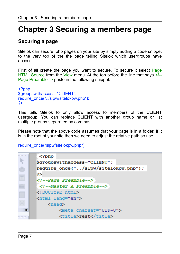# <span id="page-6-0"></span>**Chapter 3 Securing a members page**

### <span id="page-6-1"></span>**Securing a page**

Sitelok can secure .php pages on your site by simply adding a code snippet to the very top of the the page telling Sitelok which usergroups have access.

First of all create the page you want to secure. To secure it select Page HTML Source from the View menu. At the top before the line that says <!--Page Preamble--> paste in the following snippet.

```
<?php 
$groupswithaccess="CLIENT"; 
require_once("../slpw/sitelokpw.php");
?>
```
This tells Sitelok to only allow access to members of the CLIENT usergroup. You can replace CLIENT with another group name or list multiple groups separated by commas.

Please note that the above code assumes that your page is in a folder. If it is in the root of your site then we need to adjust the relative path so use

require\_once("slpw/sitelokpw.php");

|     | $<$ ?php                             |
|-----|--------------------------------------|
|     | \$groupswithaccess="CLIENT";         |
|     | require once("/slpw/sitelokpw.php"); |
|     | 2>                                   |
|     | Page Preamble                        |
|     | $\langle$ !--Master A Preamble-->    |
|     | html                                 |
|     | <html lang="en"></html>              |
|     | <head></head>                        |
| TE. | <meta charset="utf-8"/>              |
|     | <title>Test</title>                  |
|     |                                      |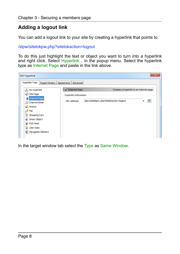## <span id="page-7-0"></span>**Adding a logout link**

You can add a logout link to your site by creating a hyperlink that points to

/slpw/sitelokpw.php?sitelokaction=logout

To do this just highlight the text or object you want to turn into a hyperlink and right click. Select Hyperlink... in the popup menu. Select the hyperlink type as Internet Page and paste in the link above.

| $\mathbf{x}$<br><b>Edit Hyperlink</b>                             |                              |                                                               |  |  |  |  |  |
|-------------------------------------------------------------------|------------------------------|---------------------------------------------------------------|--|--|--|--|--|
| <b>Hyperlink Type</b><br>Target Window                            | Advanced<br>Appearance       |                                                               |  |  |  |  |  |
| $\times$ No Hyperlink                                             | <b>John Themet Page</b>      | Creates a hyperlink to an internet page                       |  |  |  |  |  |
| Site Page                                                         | <b>Hyperlink Information</b> |                                                               |  |  |  |  |  |
| Internet Page<br><b>A</b> Internet Email<br>Anchor<br><b>File</b> | URL address:                 | $\mathbb{E}$<br>/slpw/sitelokpw.php?sitelokaction=logout<br>۰ |  |  |  |  |  |
| S)<br>Shopping Cart<br>Smart Object<br>RSS Feed                   |                              |                                                               |  |  |  |  |  |
| <sup>2</sup> User Data<br>Navigation Element                      |                              |                                                               |  |  |  |  |  |

In the target window tab select the Type as Same Window.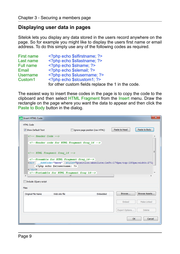### <span id="page-8-0"></span>**Displaying user data in pages**

Sitelok lets you display any data stored in the users record anywhere on the page. So for example you might like to display the users first name or email address. To do this simply use any of the following codes as required.

| First name          | php echo \$slfirstname; ?                          |
|---------------------|----------------------------------------------------|
| Last name           | php echo \$sllastname; ?                           |
| Full name           | php echo \$slname; ?                               |
| Email               | php echo \$slemail; ?                              |
| Username            | php echo \$ sluse rname; ?</td                     |
| Custom <sub>1</sub> | php echo \$slcustom1; ?                            |
|                     | for other custom fields replace the 1 in the code. |

The easiest way to insert these codes in the page is to copy the code to the clipboard and then select HTML Fragment from the Insert menu. Draw the rectangle on the page where you want the data to appear and then click the Paste to Body button in the dialog.

| <b>D</b> Insert HTML Code               |                                                                                                                                                                                              |          |                | $\mathbf{x}$  |  |  |  |
|-----------------------------------------|----------------------------------------------------------------------------------------------------------------------------------------------------------------------------------------------|----------|----------------|---------------|--|--|--|
| <b>HTML Code</b>                        |                                                                                                                                                                                              |          |                |               |  |  |  |
| Show Default Text                       | Ignore page position (raw HTML)                                                                                                                                                              |          | Paste to Head  | Paste to Body |  |  |  |
| $\langle$ !-- Header Code -->           |                                                                                                                                                                                              |          |                |               |  |  |  |
| $\langle$ -- HTML Fragment frag 16 -- > | Header code for HTML Fragment frag 16                                                                                                                                                        |          |                | Ξ             |  |  |  |
| $\langle$ div $\rangle$                 | Preamble for HTML Fragment frag 16<br><div AddCode="here" style="position:absolute;left:176px;top:180px;width:2711<br> php echo \$slusername; ?<br>Postamble for HTML Fragment frag 16<br>m. |          |                |               |  |  |  |
| Include JQuery script                   |                                                                                                                                                                                              |          |                |               |  |  |  |
| <b>Fles</b>                             |                                                                                                                                                                                              |          |                |               |  |  |  |
| Original File Name                      | Web site file                                                                                                                                                                                | Embedded | Browse         | Browse Assets |  |  |  |
|                                         |                                                                                                                                                                                              |          | Embed          | Make Linked   |  |  |  |
|                                         |                                                                                                                                                                                              |          | Export Options | Delete        |  |  |  |
|                                         |                                                                                                                                                                                              |          |                | OK<br>Cancel  |  |  |  |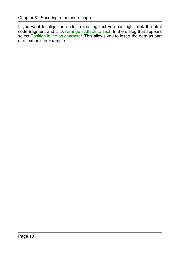If you want to align the code to existing text you can right click the html code fragment and click Arrange - Attach to Text. In the dialog that appears select Position inline as character. This allows you to insert the data as part of a text box for example.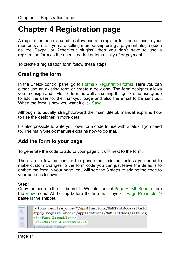# <span id="page-10-0"></span>**Chapter 4 Registration page**

A registration page is used to allow users to register for free access to your members area. If you are selling membership using a payment plugin (such as the Paypal or 2checkout plugins) then you don't have to use a registration form as the user is added automatically after payment.

To create a registration form follow these steps

### <span id="page-10-1"></span>**Creating the form**

In the Sitelok control panel go to Forms - Registration forms. Here you can either use an existing form or create a new one. The form designer allows you to design and style the form as well as setting things like the usergroup to add the user to, the thankyou page and also the email to be sent out. When the form is how you want it click Save.

Although its usually straightforward the main Sitelok manual explains how to use the designer in more detail.

It's also possible to write your own form code to use with Sitelok if you need to. The main Sitelok manual explains how to do that.

### <span id="page-10-2"></span>**Add the form to your page**

To generate the code to add to your page click  $\blacksquare$  next to the form.

There are a few options for the generated code but unless you need to make custom changes to the form code you can just leave the defaults to embed the form in your page. You will see the 3 steps to adding the code to your page as follows.

#### **Step1**

Copy the code to the clipboard. In Webplus select Page HTML Source from the View menu. At the top before the line that says <!--Page Preamble--> paste in the snippet.

```
. . . . . . .
        <?php require once("/Applications/MAMP/htdocs/sitelo
 k
       <?php require once("/Applications/MAMP/htdocs/sitelok
       <!--Page Preamble-->
ŵ
        <!--Master A Preamble-->
       <!DOCTYPE html>
```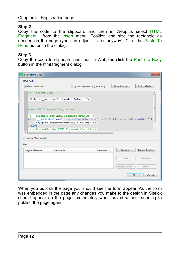### **Step 2**

Copy the code to the clipboard and then in Webplus select HTML Fragment... from the Insert menu. Position and size the rectangle as needed on the page (you can adjust it later anyway). Click the Paste To Head button in the dialog.

#### **Step 3**

Copy the code to clipboard and then in Webplus click the Paste to Body button in the html fragment dialog.

| <b>D</b> <sub>1</sub> Insert HTML Code           |                                                                                                                                                                                                   |                                 |                | $\mathbf{x}$  |  |  |  |
|--------------------------------------------------|---------------------------------------------------------------------------------------------------------------------------------------------------------------------------------------------------|---------------------------------|----------------|---------------|--|--|--|
| <b>HTML Code</b>                                 |                                                                                                                                                                                                   |                                 |                |               |  |  |  |
| Show Default Text                                |                                                                                                                                                                                                   | Ignore page position (raw HTML) | Paste to Head  | Paste to Body |  |  |  |
| $\langle -1 - $ Header Code $\langle -1 \rangle$ |                                                                                                                                                                                                   |                                 |                |               |  |  |  |
|                                                  | php sl registerformhead(1, false); ?                                                                                                                                                              |                                 |                |               |  |  |  |
|                                                  | HTML Fragment frag 22                                                                                                                                                                             |                                 |                |               |  |  |  |
| $\langle$ div $\rangle$                          | Preamble for HTML Fragment frag 22<br><div AddCode="here" style="position:absolute;left:244px;top:480px;width:512;<br> php sl registerformbody(1,false); ?<br>Postamble for HTML Fragment frag 22 |                                 |                |               |  |  |  |
| Include JQuery script                            | m.                                                                                                                                                                                                |                                 |                |               |  |  |  |
| Files                                            |                                                                                                                                                                                                   |                                 |                |               |  |  |  |
| Original File Name                               | Web site file                                                                                                                                                                                     | Embedded                        | Browse         | Browse Assets |  |  |  |
|                                                  |                                                                                                                                                                                                   |                                 | Embed          | Make Linked   |  |  |  |
|                                                  |                                                                                                                                                                                                   |                                 | Export Options | <b>Delete</b> |  |  |  |
|                                                  |                                                                                                                                                                                                   |                                 | OK             | Cancel        |  |  |  |

When you publish the page you should see the form appear. As the form was embedded in the page any changes you make to the design in Sitelok should appear on the page immediately when saved without needing to publish the page again.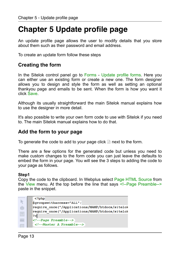# <span id="page-12-0"></span>**Chapter 5 Update profile page**

An update profile page allows the user to modify details that you store about them such as their password and email address.

To create an update form follow these steps

### <span id="page-12-1"></span>**Creating the form**

In the Sitelok control panel go to Forms - Update profile forms. Here you can either use an existing form or create a new one. The form designer allows you to design and style the form as well as setting an optional thankyou page and emails to be sent. When the form is how you want it click Save.

Although its usually straightforward the main Sitelok manual explains how to use the designer in more detail.

It's also possible to write your own form code to use with Sitelok if you need to. The main Sitelok manual explains how to do that.

### <span id="page-12-2"></span>**Add the form to your page**

To generate the code to add to your page click  $\Box$  next to the form.

There are a few options for the generated code but unless you need to make custom changes to the form code you can just leave the defaults to embed the form in your page. You will see the 3 steps to adding the code to your page as follows.

#### **Step1**

Copy the code to the clipboard. In Webplus select Page HTML Source from the View menu. At the top before the line that says <!--Page Preamble--> paste in the snippet.

```
. . . . . . .
         <?php
\mathbb{R}Sgroupswithaccess="ALL";
ŵ
        require once("/Applications/MAMP/htdocs/sitelok
        require once("/Applications/MAMP/htdocs/sitelok
\boxed{\top}2>Г
        <!--Page Preamble-->
         <!--Master A Preamble-->
```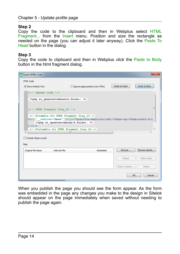#### **Step 2**

Copy the code to the clipboard and then in Webplus select HTML Fragment... from the Insert menu. Position and size the rectangle as needed on the page (you can adjust it later anyway). Click the Paste To Head button in the dialog.

#### **Step 3**

Copy the code to clipboard and then in Webplus click the Paste to Body button in the html fragment dialog.

| <b>Insert HTML Code</b>                          |                                                                                                                                                                                           |                                 |                | $\overline{\mathbf{x}}$ |
|--------------------------------------------------|-------------------------------------------------------------------------------------------------------------------------------------------------------------------------------------------|---------------------------------|----------------|-------------------------|
| <b>HTML Code</b>                                 |                                                                                                                                                                                           |                                 |                |                         |
| Show Default Text                                |                                                                                                                                                                                           | Ignore page position (raw HTML) | Paste to Head  | Paste to Body           |
| $\langle -1 - $ Header Code $\langle -1 \rangle$ |                                                                                                                                                                                           |                                 |                |                         |
|                                                  | php sl updateformhead(4,false); ?                                                                                                                                                         |                                 |                |                         |
|                                                  | HTML Fragment frag 23                                                                                                                                                                     |                                 |                |                         |
| <b>kdiv</b><br>$\langle$ div $\rangle$           | Preamble for HTML Fragment frag 23<br>AddCode="here" style="position:absolute;left:160px;top:435px;width:411]<br>php sl updateformbody(4,false); ?<br>Postamble for HTML Fragment frag 23 |                                 |                |                         |
|                                                  | m.                                                                                                                                                                                        |                                 |                |                         |
| Include JQuery script                            |                                                                                                                                                                                           |                                 |                |                         |
| Files                                            |                                                                                                                                                                                           |                                 |                |                         |
| Original File Name                               | Web site file                                                                                                                                                                             | Embedded                        | Browse         | Browse Assets           |
|                                                  |                                                                                                                                                                                           |                                 | Embed          | Make Linked             |
|                                                  |                                                                                                                                                                                           |                                 | Export Options | Delete                  |
|                                                  |                                                                                                                                                                                           |                                 | OK             | Cancel                  |

When you publish the page you should see the form appear. As the form was embedded in the page any changes you make to the design in Sitelok should appear on the page immediately when saved without needing to publish the page again.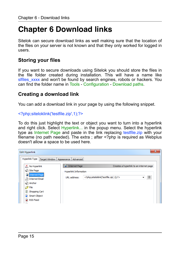# <span id="page-14-0"></span>**Chapter 6 Download links**

Sitelok can secure download links as well making sure that the location of the files on your server is not known and that they only worked for logged in users.

### <span id="page-14-1"></span>**Storing your files**

If you want to secure downloads using Sitelok you should store the files in the file folder created during installation. This will have a name like slfiles xxxx and won't be found by search engines, robots or hackers. You can find the folder name in Tools - Configuration - Download paths.

### <span id="page-14-2"></span>**Creating a download link**

You can add a download link in your page by using the following snippet.

<?php;siteloklink('testfile.zip',1);?>

To do this just highlight the text or object you want to turn into a hyperlink and right click. Select Hyperlink... in the popup menu. Select the hyperlink type as Internet Page and paste in the link replacing testfile.zip with your filename (no path needed). The extra ; after <?php is required as Webplus doesn't allow a space to be used here.

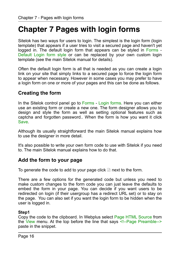# <span id="page-15-0"></span>**Chapter 7 Pages with login forms**

Sitelok has two ways for users to login. The simplest is the login form (login template) that appears if a user tries to visit a secured page and haven't yet logged in. The default login form that appears can be styled in Forms - Default Login form style or can be replaced by your own custom login template (see the main Sitelok manual for details).

Often the default login form is all that is needed as you can create a login link on your site that simply links to a secured page to force the login form to appear when necessary. However in some cases you may prefer to have a login form on one or more of your pages and this can be done as follows.

### <span id="page-15-1"></span>**Creating the form**

In the Sitelok control panel go to Forms - Login forms. Here you can either use an existing form or create a new one. The form designer allows you to design and style the form as well as setting optional features such as captcha and forgotten password.. When the form is how you want it click Save.

Although its usually straightforward the main Sitelok manual explains how to use the designer in more detail.

It's also possible to write your own form code to use with Sitelok if you need to. The main Sitelok manual explains how to do that.

### <span id="page-15-2"></span>**Add the form to your page**

To generate the code to add to your page click  $\blacksquare$  next to the form.

There are a few options for the generated code but unless you need to make custom changes to the form code you can just leave the defaults to embed the form in your page. You can decide if you want users to be redirected on login (if their usergroup has a redirect URL set) or to stay on the page. You can also set if you want the login form to be hidden when the user is logged in.

#### **Step1**

Copy the code to the clipboard. In Webplus select Page HTML Source from the View menu. At the top before the line that says <!--Page Preamble--> paste in the snippet.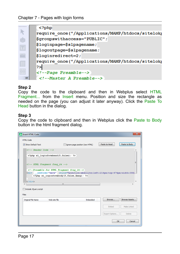|                   | $\langle$ ?php                                   |
|-------------------|--------------------------------------------------|
|                   | require once("/Applications/MAMP/htdocs/sitelok] |
|                   | \$groupswithaccess="PUBLIC";                     |
|                   | \$loginpage=\$slpagename;                        |
| $\boxed{\top}$    | \$logoutpage=\$slpagename;                       |
|                   | \$loginredirect=2;                               |
|                   | require once("/Applications/MAMP/htdocs/sitelok] |
|                   | 2>                                               |
| $\left( =\right)$ | Page Preamble                                    |
| TE.               | $\langle$ !--Master A Preamble-->                |
|                   |                                                  |

### **Step 2**

Copy the code to the clipboard and then in Webplus select HTML Fragment... from the Insert menu. Position and size the rectangle as needed on the page (you can adjust it later anyway). Click the Paste To Head button in the dialog.

#### **Step 3**

Copy the code to clipboard and then in Webplus click the Paste to Body button in the html fragment dialog.

| <b>Insert HTML Code</b>                                                                                                                                                     |                                                                                                              |                                 |                |               |
|-----------------------------------------------------------------------------------------------------------------------------------------------------------------------------|--------------------------------------------------------------------------------------------------------------|---------------------------------|----------------|---------------|
| <b>HTML Code</b>                                                                                                                                                            |                                                                                                              |                                 |                |               |
| Show Default Text                                                                                                                                                           |                                                                                                              | Ignore page position (raw HTML) | Paste to Head  | Paste to Body |
| $\langle$ !-- Header Code -->                                                                                                                                               |                                                                                                              |                                 |                |               |
|                                                                                                                                                                             | php sl loginformhead(5, false); ?                                                                            |                                 |                |               |
|                                                                                                                                                                             |                                                                                                              |                                 |                | Ξ             |
|                                                                                                                                                                             | HTML Fragment frag 24                                                                                        |                                 |                |               |
| <div< td=""><td><!--Preamble for HTML Fragment frag 24--><br/>AddCode="here" style="position:absolute;left:214px;top:474px;width:393</td><td></td><td></td><td></td></div<> | Preamble for HTML Fragment frag 24<br>AddCode="here" style="position:absolute;left:214px;top:474px;width:393 |                                 |                |               |
|                                                                                                                                                                             | php sl loginformbody(5, false, \$msg); ?                                                                     |                                 |                |               |
| $\langle$ /div>                                                                                                                                                             |                                                                                                              |                                 |                |               |
|                                                                                                                                                                             | m.                                                                                                           |                                 |                |               |
| Include JQuery script                                                                                                                                                       |                                                                                                              |                                 |                |               |
| <b>Files</b>                                                                                                                                                                |                                                                                                              |                                 |                |               |
| <b>Original File Name</b>                                                                                                                                                   | Web site file                                                                                                | Embedded                        | Browse         | Browse Assets |
|                                                                                                                                                                             |                                                                                                              |                                 | Embed          | Make Linked   |
|                                                                                                                                                                             |                                                                                                              |                                 | Export Options | <b>Delete</b> |
|                                                                                                                                                                             |                                                                                                              |                                 | OK             | Cancel        |
|                                                                                                                                                                             |                                                                                                              |                                 |                |               |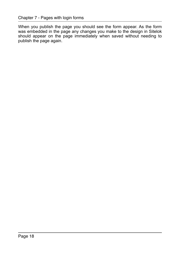When you publish the page you should see the form appear. As the form was embedded in the page any changes you make to the design in Sitelok should appear on the page immediately when saved without needing to publish the page again.